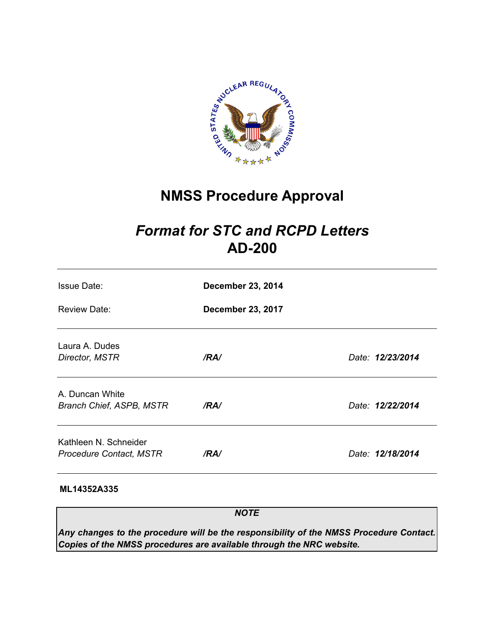

# **NMSS Procedure Approval**

# *Format for STC and RCPD Letters*  **AD-200**

| <b>Issue Date:</b>                                      | <b>December 23, 2014</b> |                  |
|---------------------------------------------------------|--------------------------|------------------|
| <b>Review Date:</b>                                     | <b>December 23, 2017</b> |                  |
| Laura A. Dudes<br>Director, MSTR                        | /RA/                     | Date: 12/23/2014 |
| A. Duncan White<br>Branch Chief, ASPB, MSTR             | /RA/                     | Date: 12/22/2014 |
| Kathleen N. Schneider<br><b>Procedure Contact, MSTR</b> | /RA/                     | Date: 12/18/2014 |

### **ML14352A335**

*NOTE* 

*Any changes to the procedure will be the responsibility of the NMSS Procedure Contact. Copies of the NMSS procedures are available through the NRC website.*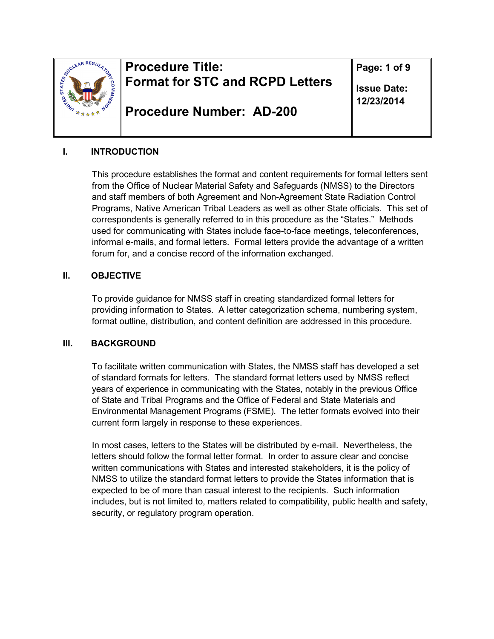

# **Procedure Title: Format for STC and RCPD Letters**

**Procedure Number: AD-200**

**Page: 1 of 9** 

**Issue Date: 12/23/2014** 

### **I. INTRODUCTION**

This procedure establishes the format and content requirements for formal letters sent from the Office of Nuclear Material Safety and Safeguards (NMSS) to the Directors and staff members of both Agreement and Non-Agreement State Radiation Control Programs, Native American Tribal Leaders as well as other State officials. This set of correspondents is generally referred to in this procedure as the "States." Methods used for communicating with States include face-to-face meetings, teleconferences, informal e-mails, and formal letters. Formal letters provide the advantage of a written forum for, and a concise record of the information exchanged.

### **II. OBJECTIVE**

To provide guidance for NMSS staff in creating standardized formal letters for providing information to States. A letter categorization schema, numbering system, format outline, distribution, and content definition are addressed in this procedure.

### **III. BACKGROUND**

To facilitate written communication with States, the NMSS staff has developed a set of standard formats for letters. The standard format letters used by NMSS reflect years of experience in communicating with the States, notably in the previous Office of State and Tribal Programs and the Office of Federal and State Materials and Environmental Management Programs (FSME). The letter formats evolved into their current form largely in response to these experiences.

In most cases, letters to the States will be distributed by e-mail. Nevertheless, the letters should follow the formal letter format. In order to assure clear and concise written communications with States and interested stakeholders, it is the policy of NMSS to utilize the standard format letters to provide the States information that is expected to be of more than casual interest to the recipients. Such information includes, but is not limited to, matters related to compatibility, public health and safety, security, or regulatory program operation.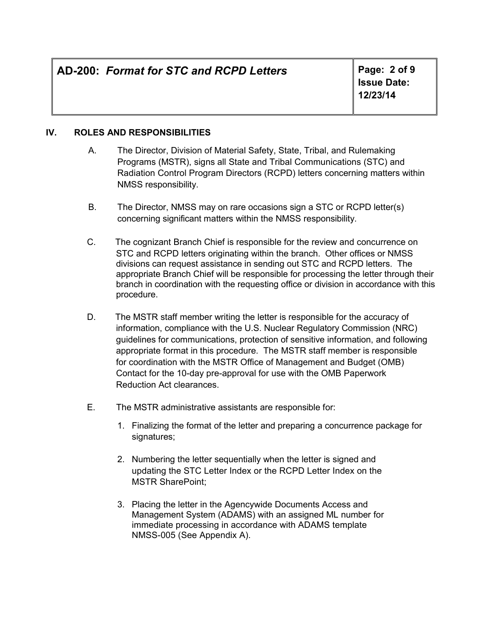# **AD-200:** *Format for STC and RCPD Letters* **Page: 2 of 9**

**Issue Date: 12/23/14** 

### **IV. ROLES AND RESPONSIBILITIES**

- A. The Director, Division of Material Safety, State, Tribal, and Rulemaking Programs (MSTR), signs all State and Tribal Communications (STC) and Radiation Control Program Directors (RCPD) letters concerning matters within NMSS responsibility.
- B. The Director, NMSS may on rare occasions sign a STC or RCPD letter(s) concerning significant matters within the NMSS responsibility.
- C. The cognizant Branch Chief is responsible for the review and concurrence on STC and RCPD letters originating within the branch. Other offices or NMSS divisions can request assistance in sending out STC and RCPD letters. The appropriate Branch Chief will be responsible for processing the letter through their branch in coordination with the requesting office or division in accordance with this procedure.
- D. The MSTR staff member writing the letter is responsible for the accuracy of information, compliance with the U.S. Nuclear Regulatory Commission (NRC) guidelines for communications, protection of sensitive information, and following appropriate format in this procedure. The MSTR staff member is responsible for coordination with the MSTR Office of Management and Budget (OMB) Contact for the 10-day pre-approval for use with the OMB Paperwork Reduction Act clearances.
- E. The MSTR administrative assistants are responsible for:
	- 1. Finalizing the format of the letter and preparing a concurrence package for signatures;
	- 2. Numbering the letter sequentially when the letter is signed and updating the STC Letter Index or the RCPD Letter Index on the MSTR SharePoint;
	- 3. Placing the letter in the Agencywide Documents Access and Management System (ADAMS) with an assigned ML number for immediate processing in accordance with ADAMS template NMSS-005 (See Appendix A).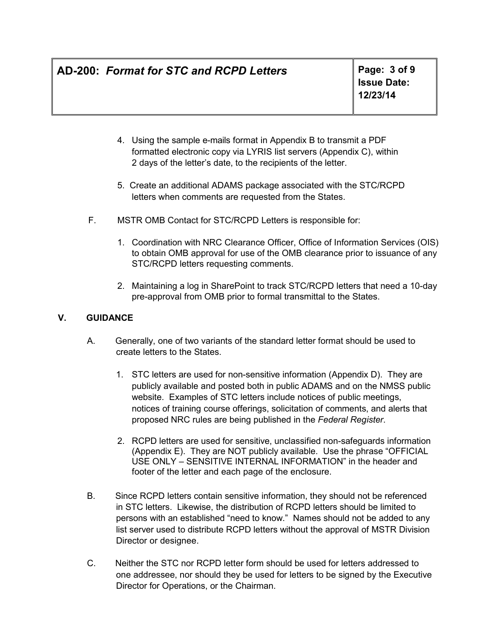# **AD-200:** *Format for STC and RCPD Letters* **Page: 3 of 9**

- 4. Using the sample e-mails format in Appendix B to transmit a PDF formatted electronic copy via LYRIS list servers (Appendix C), within 2 days of the letter's date, to the recipients of the letter.
- 5. Create an additional ADAMS package associated with the STC/RCPD letters when comments are requested from the States.
- F. MSTR OMB Contact for STC/RCPD Letters is responsible for:
	- 1. Coordination with NRC Clearance Officer, Office of Information Services (OIS) to obtain OMB approval for use of the OMB clearance prior to issuance of any STC/RCPD letters requesting comments.
	- 2. Maintaining a log in SharePoint to track STC/RCPD letters that need a 10-day pre-approval from OMB prior to formal transmittal to the States.

### **V. GUIDANCE**

- A. Generally, one of two variants of the standard letter format should be used to create letters to the States.
	- 1. STC letters are used for non-sensitive information (Appendix D). They are publicly available and posted both in public ADAMS and on the NMSS public website. Examples of STC letters include notices of public meetings, notices of training course offerings, solicitation of comments, and alerts that proposed NRC rules are being published in the *Federal Register*.
	- 2. RCPD letters are used for sensitive, unclassified non-safeguards information (Appendix E). They are NOT publicly available. Use the phrase "OFFICIAL USE ONLY – SENSITIVE INTERNAL INFORMATION" in the header and footer of the letter and each page of the enclosure.
- B. Since RCPD letters contain sensitive information, they should not be referenced in STC letters. Likewise, the distribution of RCPD letters should be limited to persons with an established "need to know." Names should not be added to any list server used to distribute RCPD letters without the approval of MSTR Division Director or designee.
- C. Neither the STC nor RCPD letter form should be used for letters addressed to one addressee, nor should they be used for letters to be signed by the Executive Director for Operations, or the Chairman.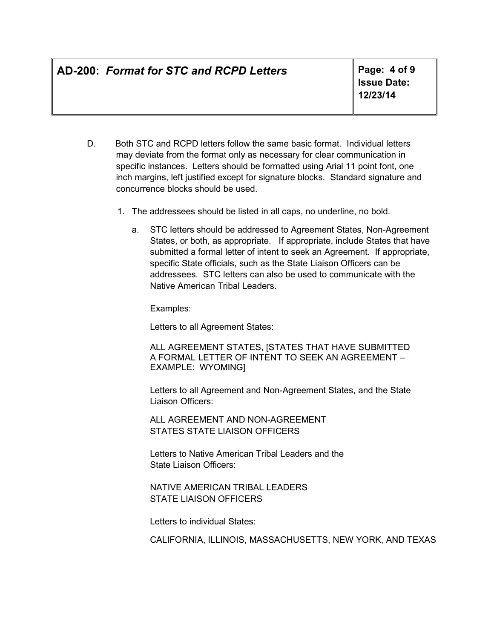# **AD-200:** *Format for STC and RCPD Letters* **Page: 4 of 9**

**Issue Date: 12/23/14** 

- D. Both STC and RCPD letters follow the same basic format. Individual letters may deviate from the format only as necessary for clear communication in specific instances. Letters should be formatted using Arial 11 point font, one inch margins, left justified except for signature blocks. Standard signature and concurrence blocks should be used.
	- 1. The addressees should be listed in all caps, no underline, no bold.
		- a. STC letters should be addressed to Agreement States, Non-Agreement States, or both, as appropriate. If appropriate, include States that have submitted a formal letter of intent to seek an Agreement. If appropriate, specific State officials, such as the State Liaison Officers can be addressees. STC letters can also be used to communicate with the Native American Tribal Leaders.

Examples:

Letters to all Agreement States:

ALL AGREEMENT STATES, [STATES THAT HAVE SUBMITTED A FORMAL LETTER OF INTENT TO SEEK AN AGREEMENT – EXAMPLE: WYOMING]

Letters to all Agreement and Non-Agreement States, and the State Liaison Officers:

ALL AGREEMENT AND NON-AGREEMENT STATES STATE LIAISON OFFICERS

Letters to Native American Tribal Leaders and the State Liaison Officers:

NATIVE AMERICAN TRIBAL LEADERS STATE LIAISON OFFICERS

Letters to individual States:

CALIFORNIA, ILLINOIS, MASSACHUSETTS, NEW YORK, AND TEXAS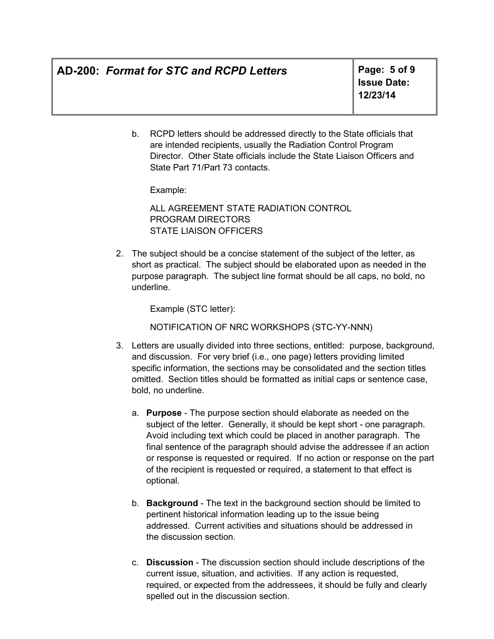# **AD-200:** *Format for STC and RCPD Letters* **Page: 5 of 9**

**Issue Date: 12/23/14** 

b. RCPD letters should be addressed directly to the State officials that are intended recipients, usually the Radiation Control Program Director. Other State officials include the State Liaison Officers and State Part 71/Part 73 contacts.

Example:

ALL AGREEMENT STATE RADIATION CONTROL PROGRAM DIRECTORS STATE LIAISON OFFICERS

2. The subject should be a concise statement of the subject of the letter, as short as practical. The subject should be elaborated upon as needed in the purpose paragraph. The subject line format should be all caps, no bold, no underline.

Example (STC letter):

NOTIFICATION OF NRC WORKSHOPS (STC-YY-NNN)

- 3. Letters are usually divided into three sections, entitled: purpose, background, and discussion. For very brief (i.e., one page) letters providing limited specific information, the sections may be consolidated and the section titles omitted. Section titles should be formatted as initial caps or sentence case, bold, no underline.
	- a. **Purpose**  The purpose section should elaborate as needed on the subject of the letter. Generally, it should be kept short - one paragraph. Avoid including text which could be placed in another paragraph. The final sentence of the paragraph should advise the addressee if an action or response is requested or required. If no action or response on the part of the recipient is requested or required, a statement to that effect is optional.
	- b. **Background**  The text in the background section should be limited to pertinent historical information leading up to the issue being addressed. Current activities and situations should be addressed in the discussion section.
	- c. **Discussion**  The discussion section should include descriptions of the current issue, situation, and activities. If any action is requested, required, or expected from the addressees, it should be fully and clearly spelled out in the discussion section.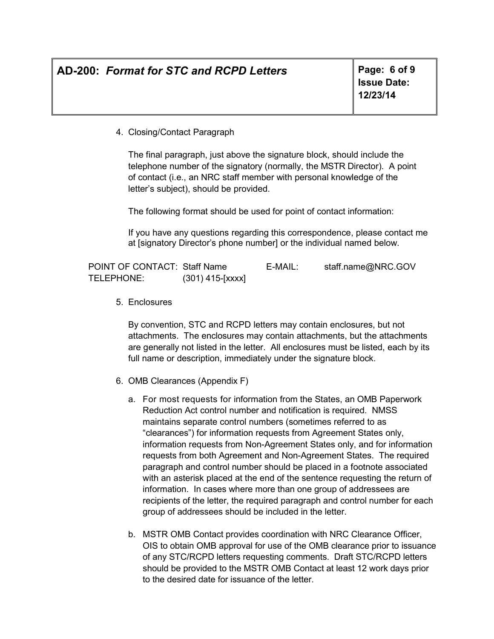# **AD-200:** *Format for STC and RCPD Letters* **Page: 6 of 9**

**Issue Date: 12/23/14** 

4. Closing/Contact Paragraph

The final paragraph, just above the signature block, should include the telephone number of the signatory (normally, the MSTR Director). A point of contact (i.e., an NRC staff member with personal knowledge of the letter's subject), should be provided.

The following format should be used for point of contact information:

If you have any questions regarding this correspondence, please contact me at [signatory Director's phone number] or the individual named below.

| POINT OF CONTACT: Staff Name |                    | E-MAIL: | staff.name@NRC.GOV |
|------------------------------|--------------------|---------|--------------------|
| TELEPHONE:                   | $(301)$ 415-[xxxx] |         |                    |

5. Enclosures

By convention, STC and RCPD letters may contain enclosures, but not attachments. The enclosures may contain attachments, but the attachments are generally not listed in the letter. All enclosures must be listed, each by its full name or description, immediately under the signature block.

- 6. OMB Clearances (Appendix F)
	- a. For most requests for information from the States, an OMB Paperwork Reduction Act control number and notification is required. NMSS maintains separate control numbers (sometimes referred to as "clearances") for information requests from Agreement States only, information requests from Non-Agreement States only, and for information requests from both Agreement and Non-Agreement States. The required paragraph and control number should be placed in a footnote associated with an asterisk placed at the end of the sentence requesting the return of information. In cases where more than one group of addressees are recipients of the letter, the required paragraph and control number for each group of addressees should be included in the letter.
	- b. MSTR OMB Contact provides coordination with NRC Clearance Officer, OIS to obtain OMB approval for use of the OMB clearance prior to issuance of any STC/RCPD letters requesting comments. Draft STC/RCPD letters should be provided to the MSTR OMB Contact at least 12 work days prior to the desired date for issuance of the letter.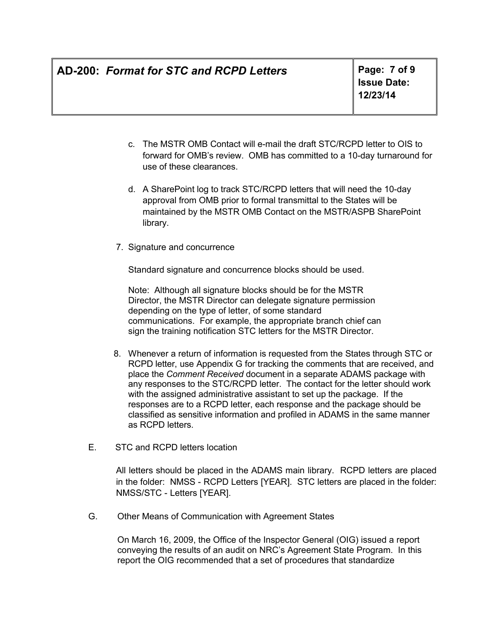# **AD-200:** *Format for STC and RCPD Letters* **Page: 7 of 9**

**Issue Date: 12/23/14** 

- c. The MSTR OMB Contact will e-mail the draft STC/RCPD letter to OIS to forward for OMB's review. OMB has committed to a 10-day turnaround for use of these clearances.
- d. A SharePoint log to track STC/RCPD letters that will need the 10-day approval from OMB prior to formal transmittal to the States will be maintained by the MSTR OMB Contact on the MSTR/ASPB SharePoint library.
- 7. Signature and concurrence

Standard signature and concurrence blocks should be used.

Note: Although all signature blocks should be for the MSTR Director, the MSTR Director can delegate signature permission depending on the type of letter, of some standard communications. For example, the appropriate branch chief can sign the training notification STC letters for the MSTR Director.

- 8. Whenever a return of information is requested from the States through STC or RCPD letter, use Appendix G for tracking the comments that are received, and place the *Comment Received* document in a separate ADAMS package with any responses to the STC/RCPD letter. The contact for the letter should work with the assigned administrative assistant to set up the package. If the responses are to a RCPD letter, each response and the package should be classified as sensitive information and profiled in ADAMS in the same manner as RCPD letters.
- E. STC and RCPD letters location

All letters should be placed in the ADAMS main library. RCPD letters are placed in the folder: NMSS - RCPD Letters [YEAR]. STC letters are placed in the folder: NMSS/STC - Letters [YEAR].

G. Other Means of Communication with Agreement States

On March 16, 2009, the Office of the Inspector General (OIG) issued a report conveying the results of an audit on NRC's Agreement State Program. In this report the OIG recommended that a set of procedures that standardize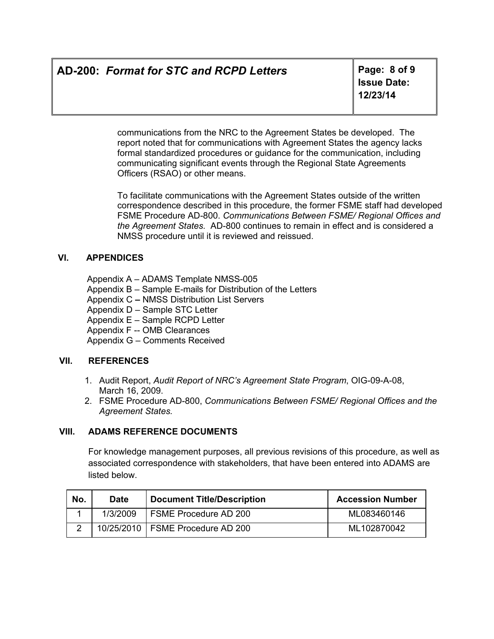# **AD-200:** *Format for STC and RCPD Letters* **Page: 8 of 9**

**Issue Date: 12/23/14** 

communications from the NRC to the Agreement States be developed. The report noted that for communications with Agreement States the agency lacks formal standardized procedures or guidance for the communication, including communicating significant events through the Regional State Agreements Officers (RSAO) or other means.

To facilitate communications with the Agreement States outside of the written correspondence described in this procedure, the former FSME staff had developed FSME Procedure AD-800. *Communications Between FSME/ Regional Offices and the Agreement States.* AD-800 continues to remain in effect and is considered a NMSS procedure until it is reviewed and reissued.

### **VI. APPENDICES**

Appendix A – ADAMS Template NMSS-005

- Appendix B Sample E-mails for Distribution of the Letters
- Appendix C NMSS Distribution List Servers
- Appendix D Sample STC Letter
- Appendix E Sample RCPD Letter
- Appendix F -- OMB Clearances

Appendix G – Comments Received

### **VII. REFERENCES**

- 1. Audit Report, *Audit Report of NRC's Agreement State Program*, OIG-09-A-08, March 16, 2009.
- 2. FSME Procedure AD-800, *Communications Between FSME/ Regional Offices and the Agreement States.*

### **VIII. ADAMS REFERENCE DOCUMENTS**

For knowledge management purposes, all previous revisions of this procedure, as well as associated correspondence with stakeholders, that have been entered into ADAMS are listed below.

| No.        | <b>Date</b> | <b>Document Title/Description</b>  | <b>Accession Number</b> |
|------------|-------------|------------------------------------|-------------------------|
|            | 1/3/2009    | FSME Procedure AD 200              | ML083460146             |
| $\sqrt{2}$ |             | 10/25/2010   FSME Procedure AD 200 | ML102870042             |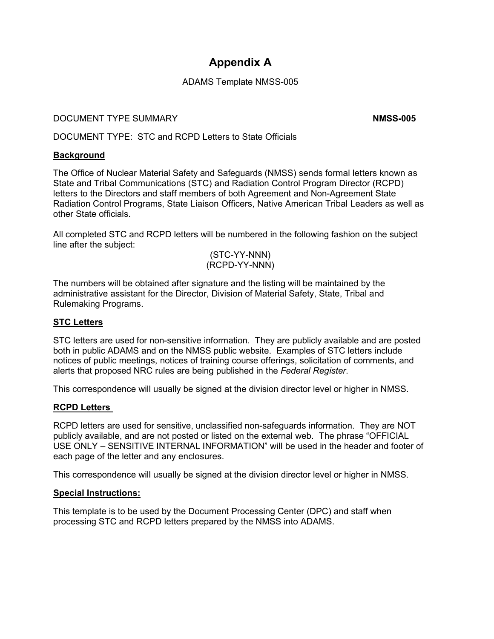## **Appendix A**

### ADAMS Template NMSS-005

### **DOCUMENT TYPE SUMMARY CONSUMING THE SUMMARY NMSS-005**

DOCUMENT TYPE: STC and RCPD Letters to State Officials

### **Background**

The Office of Nuclear Material Safety and Safeguards (NMSS) sends formal letters known as State and Tribal Communications (STC) and Radiation Control Program Director (RCPD) letters to the Directors and staff members of both Agreement and Non-Agreement State Radiation Control Programs, State Liaison Officers, Native American Tribal Leaders as well as other State officials.

All completed STC and RCPD letters will be numbered in the following fashion on the subject line after the subject:

#### (STC-YY-NNN) (RCPD-YY-NNN)

The numbers will be obtained after signature and the listing will be maintained by the administrative assistant for the Director, Division of Material Safety, State, Tribal and Rulemaking Programs.

### **STC Letters**

STC letters are used for non-sensitive information. They are publicly available and are posted both in public ADAMS and on the NMSS public website. Examples of STC letters include notices of public meetings, notices of training course offerings, solicitation of comments, and alerts that proposed NRC rules are being published in the *Federal Register*.

This correspondence will usually be signed at the division director level or higher in NMSS.

### **RCPD Letters**

RCPD letters are used for sensitive, unclassified non-safeguards information. They are NOT publicly available, and are not posted or listed on the external web. The phrase "OFFICIAL USE ONLY – SENSITIVE INTERNAL INFORMATION" will be used in the header and footer of each page of the letter and any enclosures.

This correspondence will usually be signed at the division director level or higher in NMSS.

### **Special Instructions:**

This template is to be used by the Document Processing Center (DPC) and staff when processing STC and RCPD letters prepared by the NMSS into ADAMS.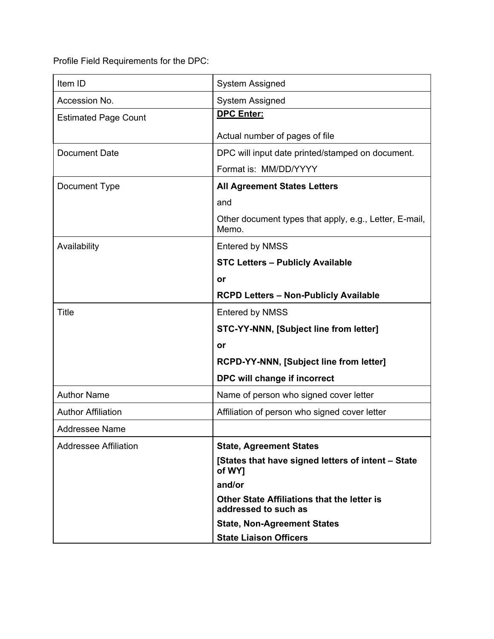Profile Field Requirements for the DPC:

| Item ID                      | System Assigned                                                     |  |
|------------------------------|---------------------------------------------------------------------|--|
| Accession No.                | System Assigned                                                     |  |
| <b>Estimated Page Count</b>  | <b>DPC Enter:</b>                                                   |  |
|                              | Actual number of pages of file                                      |  |
| <b>Document Date</b>         | DPC will input date printed/stamped on document.                    |  |
|                              | Format is: MM/DD/YYYY                                               |  |
| Document Type                | <b>All Agreement States Letters</b>                                 |  |
|                              | and                                                                 |  |
|                              | Other document types that apply, e.g., Letter, E-mail,<br>Memo.     |  |
| Availability                 | Entered by NMSS                                                     |  |
|                              | <b>STC Letters - Publicly Available</b>                             |  |
|                              | or                                                                  |  |
|                              | <b>RCPD Letters - Non-Publicly Available</b>                        |  |
| <b>Title</b>                 | <b>Entered by NMSS</b>                                              |  |
|                              | STC-YY-NNN, [Subject line from letter]                              |  |
|                              | or                                                                  |  |
|                              | RCPD-YY-NNN, [Subject line from letter]                             |  |
|                              | DPC will change if incorrect                                        |  |
| <b>Author Name</b>           | Name of person who signed cover letter                              |  |
| <b>Author Affiliation</b>    | Affiliation of person who signed cover letter                       |  |
| <b>Addressee Name</b>        |                                                                     |  |
| <b>Addressee Affiliation</b> | <b>State, Agreement States</b>                                      |  |
|                              | [States that have signed letters of intent - State<br>of WY]        |  |
|                              | and/or                                                              |  |
|                              | Other State Affiliations that the letter is<br>addressed to such as |  |
|                              | <b>State, Non-Agreement States</b>                                  |  |
|                              | <b>State Liaison Officers</b>                                       |  |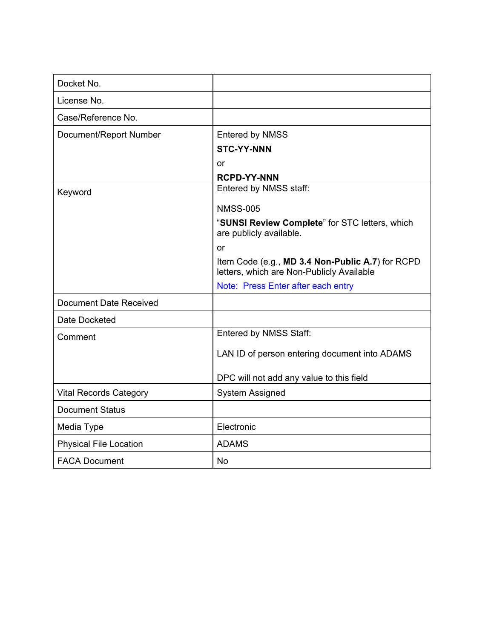| Docket No.                    |                                                                                               |
|-------------------------------|-----------------------------------------------------------------------------------------------|
| License No.                   |                                                                                               |
| Case/Reference No.            |                                                                                               |
| Document/Report Number        | <b>Entered by NMSS</b>                                                                        |
|                               | <b>STC-YY-NNN</b>                                                                             |
|                               | or                                                                                            |
|                               | <b>RCPD-YY-NNN</b>                                                                            |
| Keyword                       | Entered by NMSS staff:                                                                        |
|                               | <b>NMSS-005</b>                                                                               |
|                               | "SUNSI Review Complete" for STC letters, which<br>are publicly available.                     |
|                               | or                                                                                            |
|                               | Item Code (e.g., MD 3.4 Non-Public A.7) for RCPD<br>letters, which are Non-Publicly Available |
|                               | Note: Press Enter after each entry                                                            |
| Document Date Received        |                                                                                               |
| Date Docketed                 |                                                                                               |
| Comment                       | Entered by NMSS Staff:                                                                        |
|                               | LAN ID of person entering document into ADAMS                                                 |
|                               | DPC will not add any value to this field                                                      |
| <b>Vital Records Category</b> | System Assigned                                                                               |
| <b>Document Status</b>        |                                                                                               |
| Media Type                    | Electronic                                                                                    |
| <b>Physical File Location</b> | <b>ADAMS</b>                                                                                  |
| <b>FACA Document</b>          | <b>No</b>                                                                                     |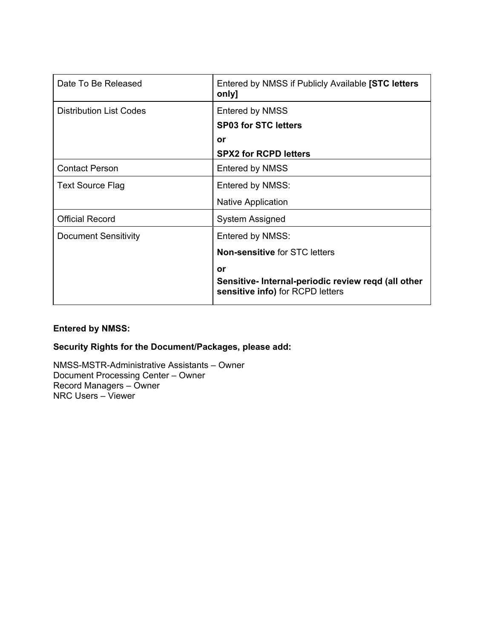| Date To Be Released            | Entered by NMSS if Publicly Available [STC letters<br>only]                            |
|--------------------------------|----------------------------------------------------------------------------------------|
| <b>Distribution List Codes</b> | <b>Entered by NMSS</b>                                                                 |
|                                | <b>SP03 for STC letters</b>                                                            |
|                                | or                                                                                     |
|                                | <b>SPX2 for RCPD letters</b>                                                           |
| <b>Contact Person</b>          | <b>Entered by NMSS</b>                                                                 |
| <b>Text Source Flag</b>        | Entered by NMSS:                                                                       |
|                                | Native Application                                                                     |
| <b>Official Record</b>         | System Assigned                                                                        |
| <b>Document Sensitivity</b>    | Entered by NMSS:                                                                       |
|                                | <b>Non-sensitive for STC letters</b>                                                   |
|                                | or                                                                                     |
|                                | Sensitive-Internal-periodic review regd (all other<br>sensitive info) for RCPD letters |

### **Entered by NMSS:**

### **Security Rights for the Document/Packages, please add:**

NMSS-MSTR-Administrative Assistants – Owner Document Processing Center – Owner Record Managers – Owner NRC Users – Viewer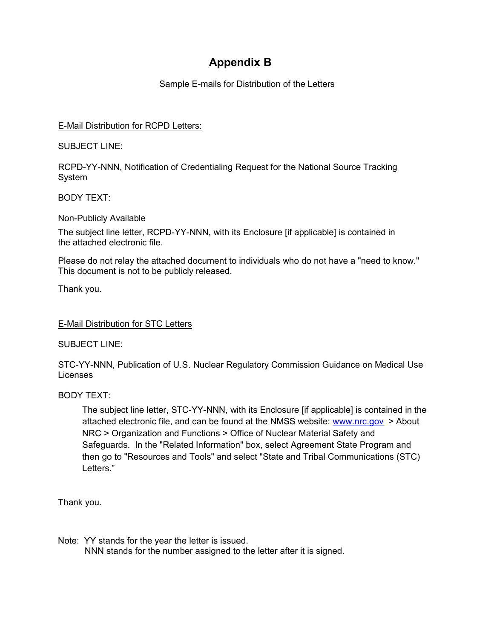# **Appendix B**

Sample E-mails for Distribution of the Letters

### E-Mail Distribution for RCPD Letters:

SUBJECT LINE:

RCPD-YY-NNN, Notification of Credentialing Request for the National Source Tracking System

BODY TEXT:

Non-Publicly Available

The subject line letter, RCPD-YY-NNN, with its Enclosure [if applicable] is contained in the attached electronic file.

Please do not relay the attached document to individuals who do not have a "need to know." This document is not to be publicly released.

Thank you.

E-Mail Distribution for STC Letters

SUBJECT LINE:

STC-YY-NNN, Publication of U.S. Nuclear Regulatory Commission Guidance on Medical Use Licenses

BODY TEXT:

The subject line letter, STC-YY-NNN, with its Enclosure [if applicable] is contained in the attached electronic file, and can be found at the NMSS website: www.nrc.gov > About NRC > Organization and Functions > Office of Nuclear Material Safety and Safeguards. In the "Related Information" box, select Agreement State Program and then go to "Resources and Tools" and select "State and Tribal Communications (STC) Letters."

Thank you.

Note: YY stands for the year the letter is issued. NNN stands for the number assigned to the letter after it is signed.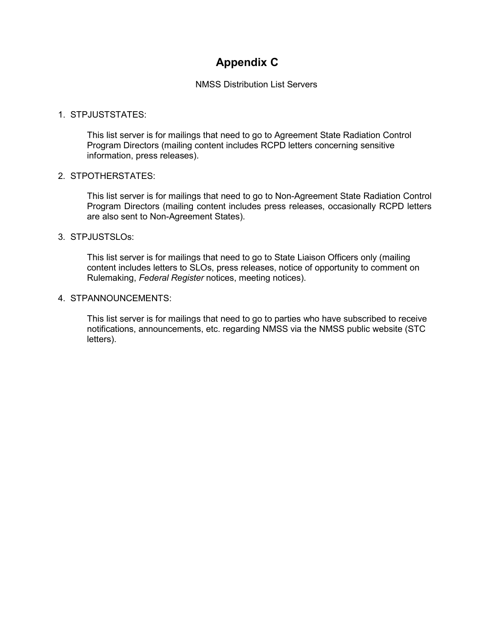# **Appendix C**

NMSS Distribution List Servers

### 1. STPJUSTSTATES:

This list server is for mailings that need to go to Agreement State Radiation Control Program Directors (mailing content includes RCPD letters concerning sensitive information, press releases).

#### 2. STPOTHERSTATES:

This list server is for mailings that need to go to Non-Agreement State Radiation Control Program Directors (mailing content includes press releases, occasionally RCPD letters are also sent to Non-Agreement States).

#### 3. STPJUSTSLOs:

This list server is for mailings that need to go to State Liaison Officers only (mailing content includes letters to SLOs, press releases, notice of opportunity to comment on Rulemaking, *Federal Register* notices, meeting notices).

#### 4. STPANNOUNCEMENTS:

This list server is for mailings that need to go to parties who have subscribed to receive notifications, announcements, etc. regarding NMSS via the NMSS public website (STC letters).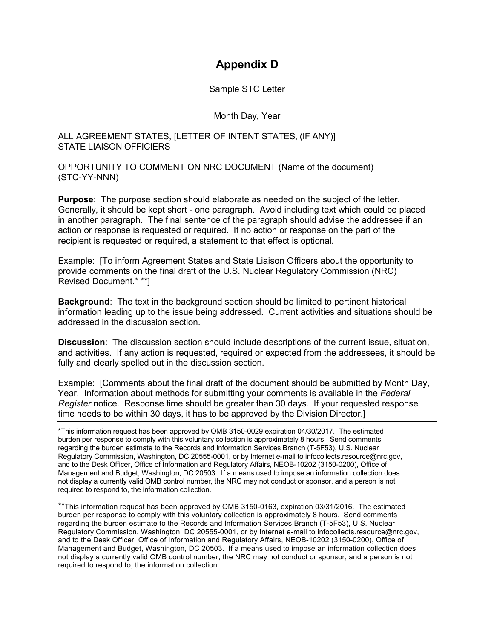### **Appendix D**

Sample STC Letter

Month Day, Year

#### ALL AGREEMENT STATES, [LETTER OF INTENT STATES, (IF ANY)] STATE LIAISON OFFICIERS

OPPORTUNITY TO COMMENT ON NRC DOCUMENT (Name of the document) (STC-YY-NNN)

**Purpose**: The purpose section should elaborate as needed on the subject of the letter. Generally, it should be kept short - one paragraph. Avoid including text which could be placed in another paragraph. The final sentence of the paragraph should advise the addressee if an action or response is requested or required. If no action or response on the part of the recipient is requested or required, a statement to that effect is optional.

Example: [To inform Agreement States and State Liaison Officers about the opportunity to provide comments on the final draft of the U.S. Nuclear Regulatory Commission (NRC) Revised Document.\* \*\*]

**Background**: The text in the background section should be limited to pertinent historical information leading up to the issue being addressed. Current activities and situations should be addressed in the discussion section.

**Discussion**: The discussion section should include descriptions of the current issue, situation, and activities. If any action is requested, required or expected from the addressees, it should be fully and clearly spelled out in the discussion section.

Example: [Comments about the final draft of the document should be submitted by Month Day, Year. Information about methods for submitting your comments is available in the *Federal Register* notice. Response time should be greater than 30 days. If your requested response time needs to be within 30 days, it has to be approved by the Division Director.]

\*This information request has been approved by OMB 3150-0029 expiration 04/30/2017. The estimated burden per response to comply with this voluntary collection is approximately 8 hours. Send comments regarding the burden estimate to the Records and Information Services Branch (T-5F53), U.S. Nuclear Regulatory Commission, Washington, DC 20555-0001, or by Internet e-mail to infocollects.resource@nrc.gov, and to the Desk Officer, Office of Information and Regulatory Affairs, NEOB-10202 (3150-0200), Office of Management and Budget, Washington, DC 20503. If a means used to impose an information collection does not display a currently valid OMB control number, the NRC may not conduct or sponsor, and a person is not required to respond to, the information collection.

\*\*This information request has been approved by OMB 3150-0163, expiration 03/31/2016. The estimated burden per response to comply with this voluntary collection is approximately 8 hours. Send comments regarding the burden estimate to the Records and Information Services Branch (T-5F53), U.S. Nuclear Regulatory Commission, Washington, DC 20555-0001, or by Internet e-mail to infocollects.resource@nrc.gov, and to the Desk Officer, Office of Information and Regulatory Affairs, NEOB-10202 (3150-0200), Office of Management and Budget, Washington, DC 20503. If a means used to impose an information collection does not display a currently valid OMB control number, the NRC may not conduct or sponsor, and a person is not required to respond to, the information collection.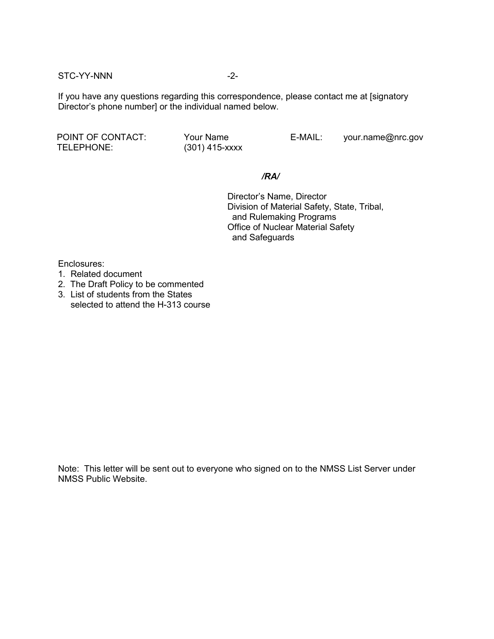STC-YY-NNN -2-

If you have any questions regarding this correspondence, please contact me at [signatory Director's phone number] or the individual named below.

POINT OF CONTACT: Your Name E-MAIL: your.name@nrc.gov TELEPHONE: (301) 415-xxxx

### */RA/*

Director's Name, Director Division of Material Safety, State, Tribal, and Rulemaking Programs Office of Nuclear Material Safety and Safeguards

Enclosures:

- 1. Related document
- 2. The Draft Policy to be commented
- 3. List of students from the States selected to attend the H-313 course

Note: This letter will be sent out to everyone who signed on to the NMSS List Server under NMSS Public Website.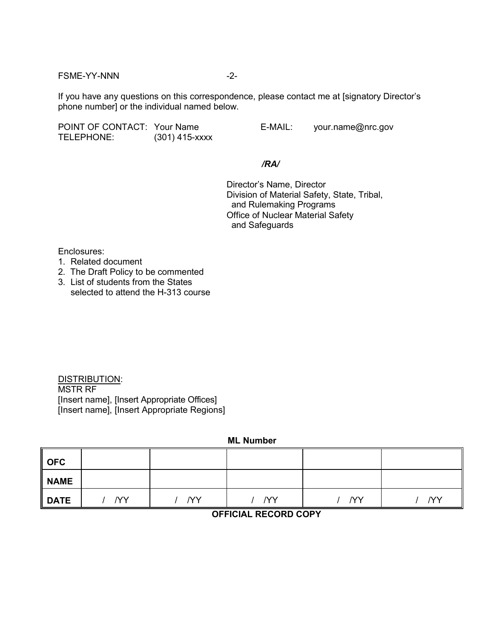FSME-YY-NNN -2-

If you have any questions on this correspondence, please contact me at [signatory Director's phone number] or the individual named below.

POINT OF CONTACT: Your Name E-MAIL: your.name@nrc.gov TELEPHONE: (301) 415-xxxx

*/RA/*

Director's Name, Director Division of Material Safety, State, Tribal, and Rulemaking Programs Office of Nuclear Material Safety and Safeguards

Enclosures:

- 1. Related document
- 2. The Draft Policy to be commented
- 3. List of students from the States selected to attend the H-313 course

DISTRIBUTION: MSTR RF [Insert name], [Insert Appropriate Offices] [Insert name], [Insert Appropriate Regions]

**ML Number**

| OFC         |           |           |           |           |     |
|-------------|-----------|-----------|-----------|-----------|-----|
| NAME        |           |           |           |           |     |
| <b>DATE</b> | <b>NY</b> | <b>YY</b> | <b>YY</b> | <b>YY</b> | /YY |

### **OFFICIAL RECORD COPY**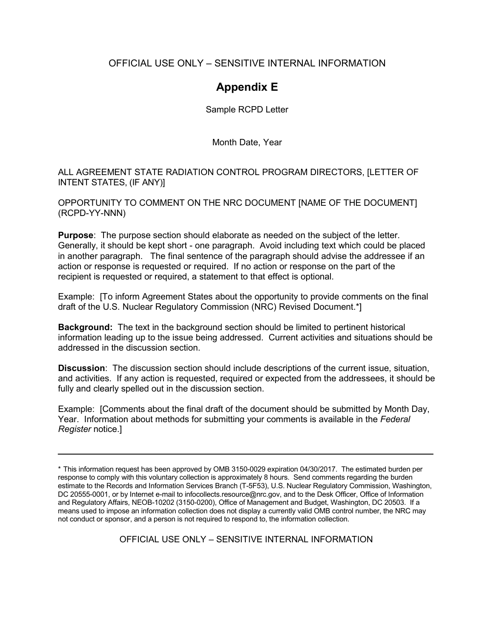### OFFICIAL USE ONLY – SENSITIVE INTERNAL INFORMATION

## **Appendix E**

Sample RCPD Letter

Month Date, Year

ALL AGREEMENT STATE RADIATION CONTROL PROGRAM DIRECTORS, [LETTER OF INTENT STATES, (IF ANY)]

OPPORTUNITY TO COMMENT ON THE NRC DOCUMENT [NAME OF THE DOCUMENT] (RCPD-YY-NNN)

**Purpose**: The purpose section should elaborate as needed on the subject of the letter. Generally, it should be kept short - one paragraph. Avoid including text which could be placed in another paragraph. The final sentence of the paragraph should advise the addressee if an action or response is requested or required. If no action or response on the part of the recipient is requested or required, a statement to that effect is optional.

Example: [To inform Agreement States about the opportunity to provide comments on the final draft of the U.S. Nuclear Regulatory Commission (NRC) Revised Document.\*]

**Background:** The text in the background section should be limited to pertinent historical information leading up to the issue being addressed. Current activities and situations should be addressed in the discussion section.

**Discussion**: The discussion section should include descriptions of the current issue, situation, and activities. If any action is requested, required or expected from the addressees, it should be fully and clearly spelled out in the discussion section.

Example: [Comments about the final draft of the document should be submitted by Month Day, Year. Information about methods for submitting your comments is available in the *Federal Register* notice.]

OFFICIAL USE ONLY – SENSITIVE INTERNAL INFORMATION

<sup>\*</sup> This information request has been approved by OMB 3150-0029 expiration 04/30/2017. The estimated burden per response to comply with this voluntary collection is approximately 8 hours. Send comments regarding the burden estimate to the Records and Information Services Branch (T-5F53), U.S. Nuclear Regulatory Commission, Washington, DC 20555-0001, or by Internet e-mail to infocollects.resource@nrc.gov, and to the Desk Officer, Office of Information and Regulatory Affairs, NEOB-10202 (3150-0200), Office of Management and Budget, Washington, DC 20503. If a means used to impose an information collection does not display a currently valid OMB control number, the NRC may not conduct or sponsor, and a person is not required to respond to, the information collection.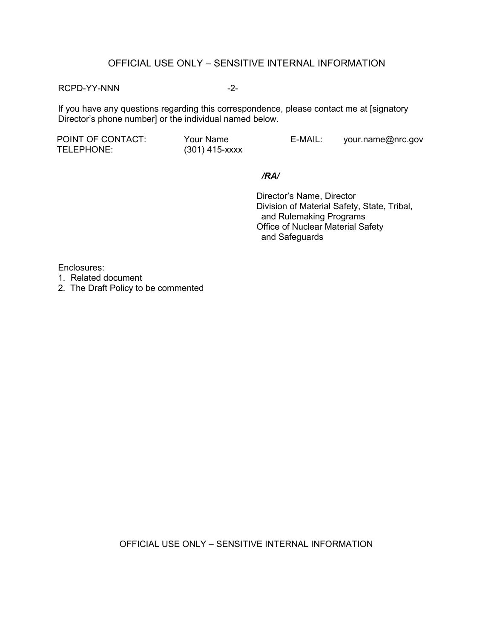### OFFICIAL USE ONLY – SENSITIVE INTERNAL INFORMATION

#### RCPD-YY-NNN -2-

If you have any questions regarding this correspondence, please contact me at [signatory Director's phone number] or the individual named below.

TELEPHONE: (301) 415-xxxx

POINT OF CONTACT: Your Name E-MAIL: your.name@nrc.gov

#### */RA/*

Director's Name, Director Division of Material Safety, State, Tribal, and Rulemaking Programs Office of Nuclear Material Safety and Safeguards

Enclosures:

- 1. Related document
- 2. The Draft Policy to be commented

OFFICIAL USE ONLY – SENSITIVE INTERNAL INFORMATION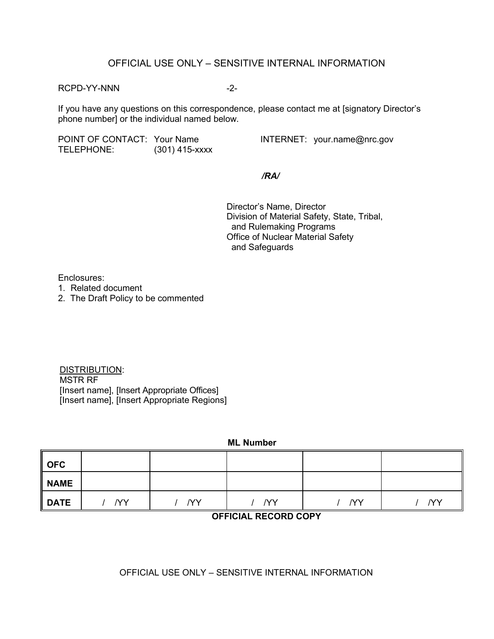### OFFICIAL USE ONLY – SENSITIVE INTERNAL INFORMATION

RCPD-YY-NNN -2-

If you have any questions on this correspondence, please contact me at [signatory Director's phone number] or the individual named below.

POINT OF CONTACT: Your Name **INTERNET:** your.name@nrc.gov TELEPHONE: (301) 415-xxxx

*/RA/*

Director's Name, Director Division of Material Safety, State, Tribal, and Rulemaking Programs Office of Nuclear Material Safety and Safeguards

Enclosures:

- 1. Related document
- 2. The Draft Policy to be commented

DISTRIBUTION: MSTR RF [Insert name], [Insert Appropriate Offices] [Insert name], [Insert Appropriate Regions]

| <b>ML Number</b>  |           |           |     |           |     |
|-------------------|-----------|-----------|-----|-----------|-----|
| <b>OFC</b>        |           |           |     |           |     |
| <b>NAME</b>       |           |           |     |           |     |
| <b>DATE</b>       | <b>NY</b> | <b>YY</b> | /YY | <b>YY</b> | /YY |
| AFDA11 BFAAB BAA1 |           |           |     |           |     |

### **OFFICIAL RECORD COPY**

### OFFICIAL USE ONLY – SENSITIVE INTERNAL INFORMATION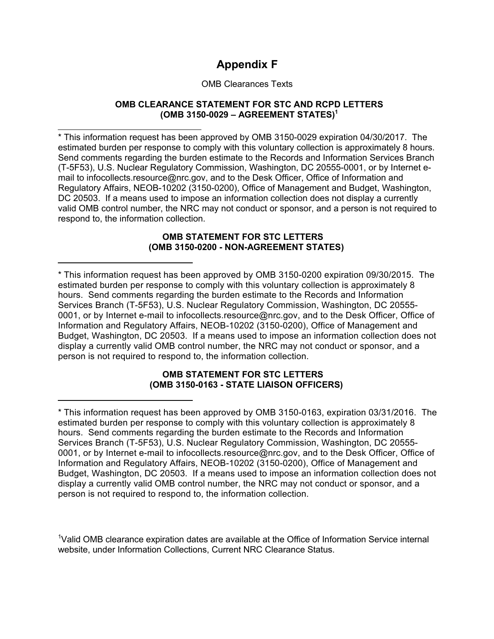# **Appendix F**

### OMB Clearances Texts

### **OMB CLEARANCE STATEMENT FOR STC AND RCPD LETTERS (OMB 3150-0029 – AGREEMENT STATES)1**

\* This information request has been approved by OMB 3150-0029 expiration 04/30/2017. The estimated burden per response to comply with this voluntary collection is approximately 8 hours. Send comments regarding the burden estimate to the Records and Information Services Branch (T-5F53), U.S. Nuclear Regulatory Commission, Washington, DC 20555-0001, or by Internet email to infocollects.resource@nrc.gov, and to the Desk Officer, Office of Information and Regulatory Affairs, NEOB-10202 (3150-0200), Office of Management and Budget, Washington, DC 20503. If a means used to impose an information collection does not display a currently valid OMB control number, the NRC may not conduct or sponsor, and a person is not required to respond to, the information collection.

#### **OMB STATEMENT FOR STC LETTERS (OMB 3150-0200 - NON-AGREEMENT STATES)**

\* This information request has been approved by OMB 3150-0200 expiration 09/30/2015. The estimated burden per response to comply with this voluntary collection is approximately 8 hours. Send comments regarding the burden estimate to the Records and Information Services Branch (T-5F53), U.S. Nuclear Regulatory Commission, Washington, DC 20555- 0001, or by Internet e-mail to infocollects.resource@nrc.gov, and to the Desk Officer, Office of Information and Regulatory Affairs, NEOB-10202 (3150-0200), Office of Management and Budget, Washington, DC 20503. If a means used to impose an information collection does not display a currently valid OMB control number, the NRC may not conduct or sponsor, and a person is not required to respond to, the information collection.

### **OMB STATEMENT FOR STC LETTERS (OMB 3150-0163 - STATE LIAISON OFFICERS)**

<sup>\*</sup> This information request has been approved by OMB 3150-0163, expiration 03/31/2016. The estimated burden per response to comply with this voluntary collection is approximately 8 hours. Send comments regarding the burden estimate to the Records and Information Services Branch (T-5F53), U.S. Nuclear Regulatory Commission, Washington, DC 20555- 0001, or by Internet e-mail to infocollects.resource@nrc.gov, and to the Desk Officer, Office of Information and Regulatory Affairs, NEOB-10202 (3150-0200), Office of Management and Budget, Washington, DC 20503. If a means used to impose an information collection does not display a currently valid OMB control number, the NRC may not conduct or sponsor, and a person is not required to respond to, the information collection.

<sup>&</sup>lt;sup>1</sup>Valid OMB clearance expiration dates are available at the Office of Information Service internal website, under Information Collections, Current NRC Clearance Status.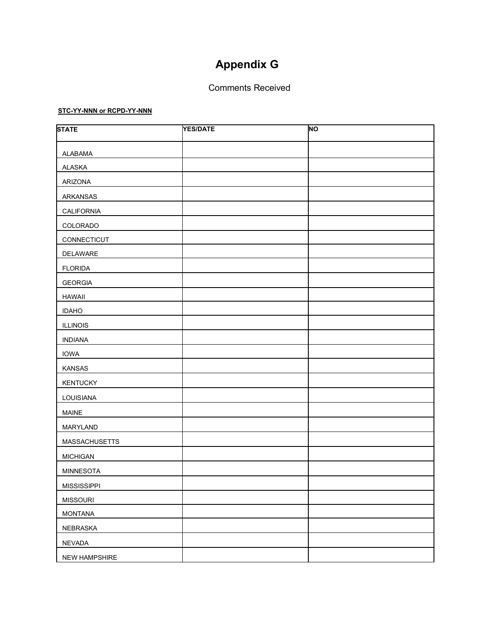# **Appendix G**

### Comments Received

#### **STC-YY-NNN or RCPD-YY-NNN**

| <b>STATE</b>         | <b>YES/DATE</b> | <b>NO</b> |
|----------------------|-----------------|-----------|
| <b>ALABAMA</b>       |                 |           |
| ALASKA               |                 |           |
| ARIZONA              |                 |           |
| ARKANSAS             |                 |           |
| CALIFORNIA           |                 |           |
| COLORADO             |                 |           |
| CONNECTICUT          |                 |           |
| DELAWARE             |                 |           |
| <b>FLORIDA</b>       |                 |           |
| <b>GEORGIA</b>       |                 |           |
| <b>HAWAII</b>        |                 |           |
| <b>IDAHO</b>         |                 |           |
| <b>ILLINOIS</b>      |                 |           |
| <b>INDIANA</b>       |                 |           |
| <b>IOWA</b>          |                 |           |
| KANSAS               |                 |           |
| <b>KENTUCKY</b>      |                 |           |
| LOUISIANA            |                 |           |
| MAINE                |                 |           |
| MARYLAND             |                 |           |
| <b>MASSACHUSETTS</b> |                 |           |
| <b>MICHIGAN</b>      |                 |           |
| MINNESOTA            |                 |           |
| <b>MISSISSIPPI</b>   |                 |           |
| <b>MISSOURI</b>      |                 |           |
| <b>MONTANA</b>       |                 |           |
| NEBRASKA             |                 |           |
| NEVADA               |                 |           |
| NEW HAMPSHIRE        |                 |           |